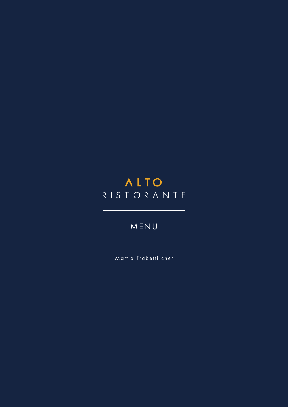# **ALTO** RISTORANTE

# MENU

Mattia Trabetti chef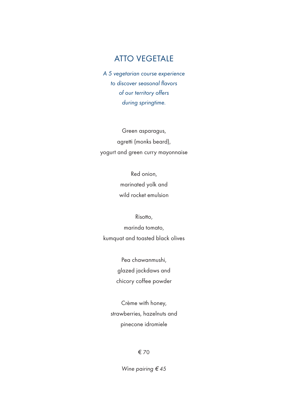### ATTO VEGETALE

*A 5 vegetarian course experience to discover seasonal flavors of our territory offers during springtime.*

Green asparagus, agretti (monks beard), yogurt and green curry mayonnaise

> Red onion, marinated yolk and wild rocket emulsion

Risotto, marinda tomato, kumquat and toasted black olives

> Pea chawanmushi, glazed jackdaws and chicory coffee powder

Crème with honey, strawberries, hazelnuts and pinecone idromiele

#### € 70

*Wine pairing* € *45*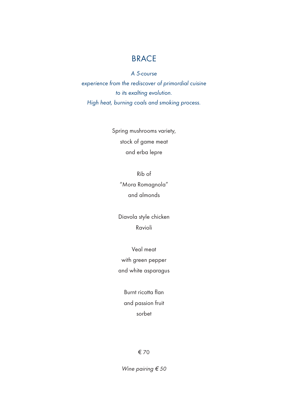### **BRACE**

*A 5-course* 

*experience from the rediscover of primordial cuisine to its exalting evolution. High heat, burning coals and smoking process.*

> Spring mushrooms variety, stock of game meat and erba lepre

> > Rib of "Mora Romagnola" and almonds

Diavola style chicken Ravioli

Veal meat with green pepper and white asparagus

> Burnt ricotta flan and passion fruit sorbet

> > € 70

*Wine pairing* € *<sup>50</sup>*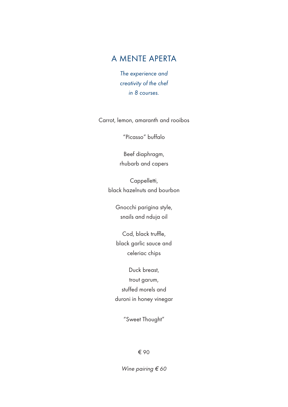### A MENTE APERTA

*The experience and creativity of the chef in 8 courses.*

Carrot, lemon, amaranth and rooibos

"Picasso" buffalo

Beef diaphragm, rhubarb and capers

Cappelletti, black hazelnuts and bourbon

> Gnocchi parigina style, snails and nduja oil

Cod, black truffle, black garlic sauce and celeriac chips

Duck breast, trout garum, stuffed morels and duroni in honey vinegar

"Sweet Thought"

€ 90

*Wine pairing* € *60*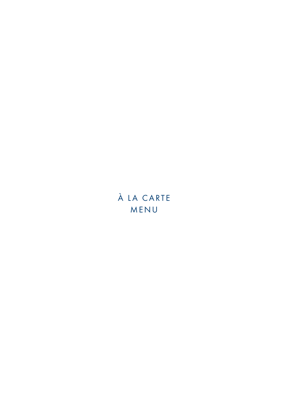# À LA CARTE MENU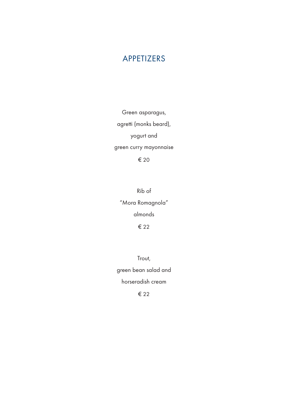### APPETIZERS

Green asparagus, agretti (monks beard), yogurt and green curry mayonnaise € 20

Rib of "Mora Romagnola" almonds € 22

Trout, green bean salad and horseradish cream € 22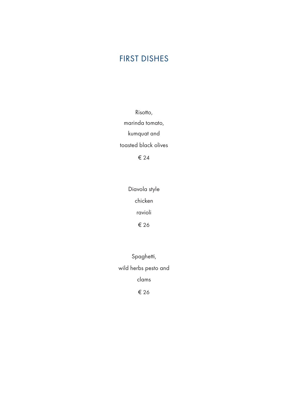## FIRST DISHES

Risotto, marinda tomato, kumquat and toasted black olives € 24

> Diavola style chicken ravioli € 26

Spaghetti, wild herbs pesto and clams € 26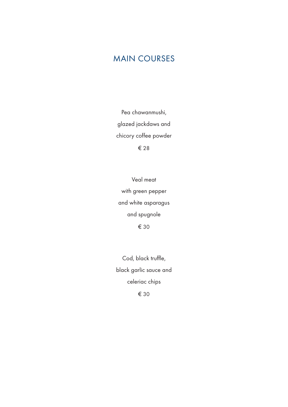# MAIN COURSES

Pea chawanmushi, glazed jackdaws and chicory coffee powder € 28

Veal meat with green pepper and white asparagus and spugnole € 30

Cod, black truffle, black garlic sauce and celeriac chips € 30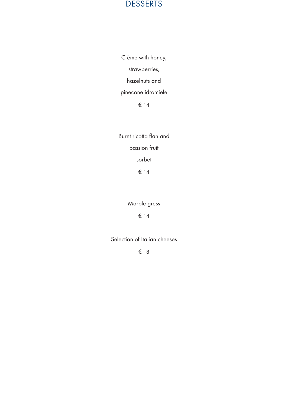#### DESSERTS

Crème with honey, strawberries, hazelnuts and pinecone idromiele € 14

Burnt ricotta flan and passion fruit sorbet € 14

Marble gress

€ 14

Selection of Italian cheeses

€ 18